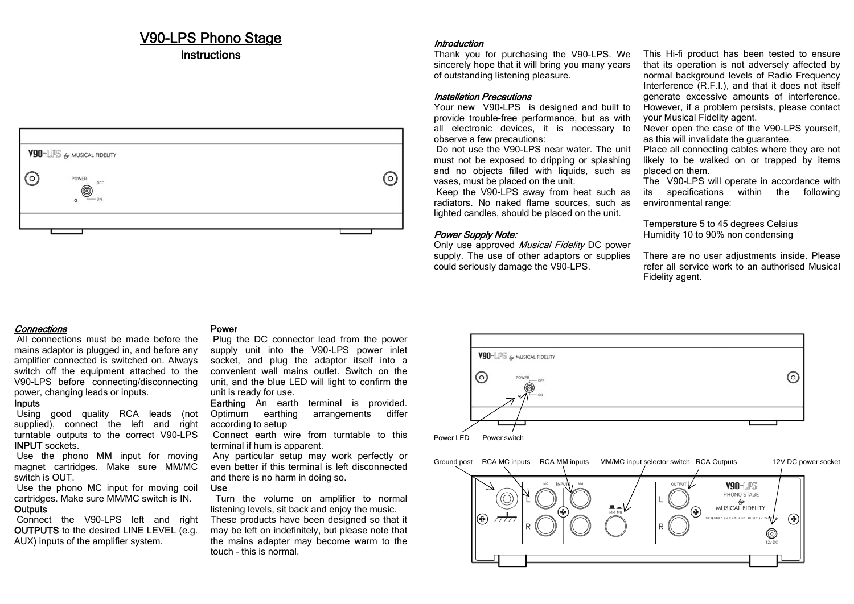# V90-LPS Phono Stage

# **Instructions**



# Introduction

Thank you for purchasing the V90-LPS. We sincerely hope that it will bring you many years of outstanding listening pleasure.

# Installation Precautions

Your new V90-LPS is designed and built to provide trouble-free performance, but as with all electronic devices, it is necessary to observe a few precautions:

 Do not use the V90-LPS near water. The unit must not be exposed to dripping or splashing and no objects filled with liquids, such as vases, must be placed on the unit.

 Keep the V90-LPS away from heat such as radiators. No naked flame sources, such as lighted candles, should be placed on the unit.

# Power Supply Note:

Only use approved Musical Fidelity DC power supply. The use of other adaptors or supplies could seriously damage the V90-LPS.

This Hi-fi product has been tested to ensure that its operation is not adversely affected by normal background levels of Radio Frequency Interference (R.F.I.), and that it does not itself generate excessive amounts of interference. However, if a problem persists, please contact your Musical Fidelity agent.

Never open the case of the V90-LPS yourself, as this will invalidate the guarantee.

Place all connecting cables where they are not likely to be walked on or trapped by items placed on them.

The V90-LPS will operate in accordance with its specifications within the following environmental range:

Temperature 5 to 45 degrees Celsius Humidity 10 to 90% non condensing

There are no user adjustments inside. Please refer all service work to an authorised Musical Fidelity agent.

# Connections

 All connections must be made before the mains adaptor is plugged in, and before any amplifier connected is switched on. Always switch off the equipment attached to the V90-LPS before connecting/disconnecting power, changing leads or inputs.

## Inputs

 Using good quality RCA leads (not supplied), connect the left and right turntable outputs to the correct V90-LPS INPUT sockets.

 Use the phono MM input for moving magnet cartridges. Make sure MM/MC switch is OUT.

 Use the phono MC input for moving coil cartridges. Make sure MM/MC switch is IN. **Outputs** 

Connect the V90-LPS left and right OUTPUTS to the desired LINE LEVEL (e.g. AUX) inputs of the amplifier system.

### Power

 Plug the DC connector lead from the power supply unit into the V90-LPS power inlet socket, and plug the adaptor itself into a convenient wall mains outlet. Switch on the unit, and the blue LED will light to confirm the unit is ready for use.

Earthing An earth terminal is provided. Optimum earthing arrangements differ according to setup

 Connect earth wire from turntable to this terminal if hum is apparent.

 Any particular setup may work perfectly or even better if this terminal is left disconnected and there is no harm in doing so.

#### Use

 Turn the volume on amplifier to normal listening levels, sit back and enjoy the music. These products have been designed so that it may be left on indefinitely, but please note that the mains adapter may become warm to the touch - this is normal.





Ground post RCA MC inputs RCA MM inputs MM/MC input selector switch RCA Outputs 12V DC power socket V90-LPS PHONO STAGE WWW.<br>MUSICAL FIDELITY 4 **DESERVED IN ENGLAND BUILT IN TANK S** ⊕)  $\circledast$  $\bigcirc$